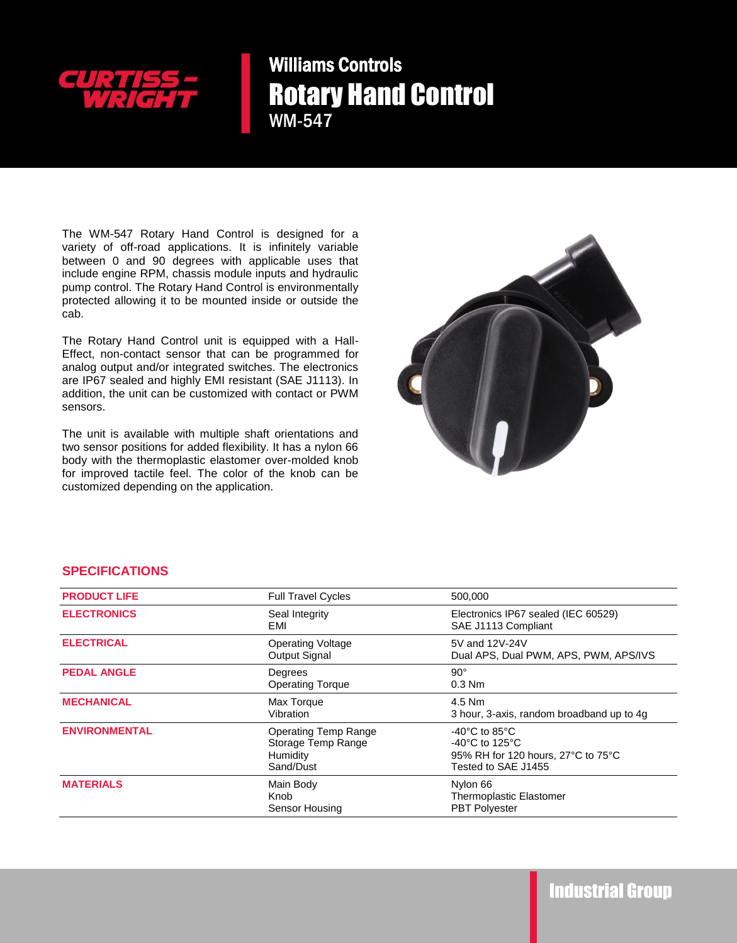

Williams Controls Rotary Hand Control WM-547

The WM-547 Rotary Hand Control is designed for a variety of off-road applications. It is infinitely variable between 0 and 90 degrees with applicable uses that include engine RPM, chassis module inputs and hydraulic pump control. The Rotary Hand Control is environmentally protected allowing it to be mounted inside or outside the cab.

The Rotary Hand Control unit is equipped with a Hall-Effect, non-contact sensor that can be programmed for analog output and/or integrated switches. The electronics are IP67 sealed and highly EMI resistant (SAE J1113). In addition, the unit can be customized with contact or PWM sensors.

The unit is available with multiple shaft orientations and two sensor positions for added flexibility. It has a nylon 66 body with the thermoplastic elastomer over-molded knob for improved tactile feel. The color of the knob can be customized depending on the application.



## **SPECIFICATIONS**

| <b>PRODUCT LIFE</b>  | <b>Full Travel Cycles</b>                                                  | 500,000                                                                                                                                 |
|----------------------|----------------------------------------------------------------------------|-----------------------------------------------------------------------------------------------------------------------------------------|
| <b>ELECTRONICS</b>   | Seal Integrity<br>EMI                                                      | Electronics IP67 sealed (IEC 60529)<br>SAE J1113 Compliant                                                                              |
| <b>ELECTRICAL</b>    | <b>Operating Voltage</b><br>Output Signal                                  | 5V and 12V-24V<br>Dual APS, Dual PWM, APS, PWM, APS/IVS                                                                                 |
| <b>PEDAL ANGLE</b>   | Degrees<br><b>Operating Torque</b>                                         | $90^\circ$<br>$0.3$ Nm                                                                                                                  |
| <b>MECHANICAL</b>    | Max Torque<br>Vibration                                                    | 4.5 Nm<br>3 hour, 3-axis, random broadband up to 4g                                                                                     |
| <b>ENVIRONMENTAL</b> | <b>Operating Temp Range</b><br>Storage Temp Range<br>Humidity<br>Sand/Dust | -40 $^{\circ}$ C to 85 $^{\circ}$ C<br>$-40^{\circ}$ C to 125 $^{\circ}$ C<br>95% RH for 120 hours, 27°C to 75°C<br>Tested to SAE J1455 |
| <b>MATERIALS</b>     | Main Body<br>Knob<br>Sensor Housing                                        | Nylon 66<br><b>Thermoplastic Elastomer</b><br><b>PBT Polyester</b>                                                                      |